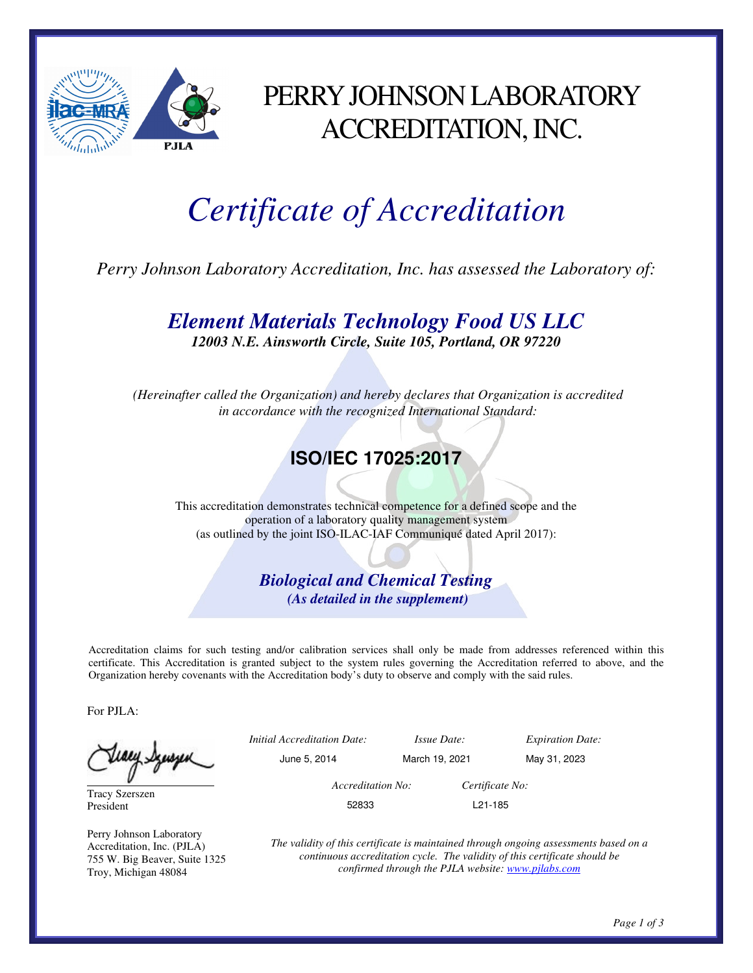

### PERRY JOHNSON LABORATORY ACCREDITATION, INC.

# *Certificate of Accreditation*

*Perry Johnson Laboratory Accreditation, Inc. has assessed the Laboratory of:* 

*Element Materials Technology Food US LLC* 

*12003 N.E. Ainsworth Circle, Suite 105, Portland, OR 97220* 

 *(Hereinafter called the Organization) and hereby declares that Organization is accredited in accordance with the recognized International Standard:* 

#### **ISO/IEC 17025:2017**

This accreditation demonstrates technical competence for a defined scope and the operation of a laboratory quality management system (as outlined by the joint ISO-ILAC-IAF Communiqué dated April 2017):

> *Biological and Chemical Testing (As detailed in the supplement)*

Accreditation claims for such testing and/or calibration services shall only be made from addresses referenced within this certificate. This Accreditation is granted subject to the system rules governing the Accreditation referred to above, and the Organization hereby covenants with the Accreditation body's duty to observe and comply with the said rules.

For PJLA:

Juary Synsyn

Tracy Szerszen President

Perry Johnson Laboratory Accreditation, Inc. (PJLA) 755 W. Big Beaver, Suite 1325 Troy, Michigan 48084

|   | <i>Initial Accreditation Date:</i> | <i>Issue Date:</i>   | <b>Expiration Date:</b> |
|---|------------------------------------|----------------------|-------------------------|
| ٮ | June 5, 2014                       | March 19, 2021       | May 31, 2023            |
|   | Accreditation No:                  | Certificate No:      |                         |
|   | 52833                              | L <sub>21</sub> -185 |                         |
|   |                                    |                      |                         |

*The validity of this certificate is maintained through ongoing assessments based on a continuous accreditation cycle. The validity of this certificate should be confirmed through the PJLA website: www.pjlabs.com*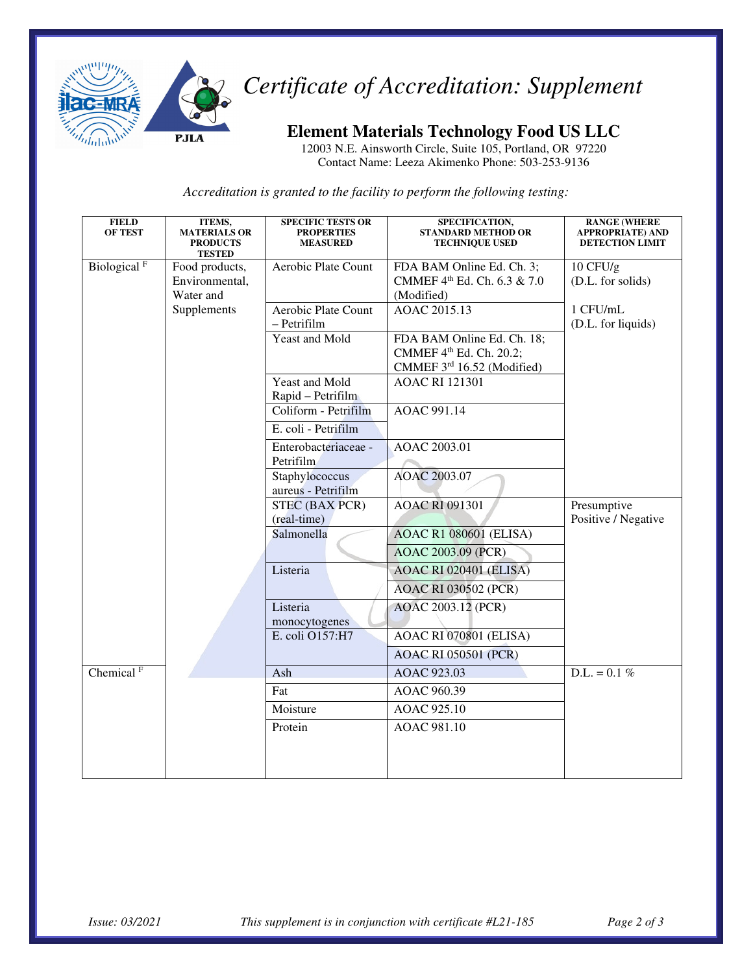

## *Certificate of Accreditation: Supplement*

#### **Element Materials Technology Food US LLC**

12003 N.E. Ainsworth Circle, Suite 105, Portland, OR 97220 Contact Name: Leeza Akimenko Phone: 503-253-9136

*Accreditation is granted to the facility to perform the following testing:* 

| <b>FIELD</b><br><b>OF TEST</b>     | ITEMS,<br><b>MATERIALS OR</b><br><b>PRODUCTS</b><br><b>TESTED</b> | <b>SPECIFIC TESTS OR</b><br><b>PROPERTIES</b><br><b>MEASURED</b> | SPECIFICATION,<br><b>STANDARD METHOD OR</b><br><b>TECHNIQUE USED</b>                | <b>RANGE (WHERE</b><br><b>APPROPRIATE) AND</b><br><b>DETECTION LIMIT</b> |  |
|------------------------------------|-------------------------------------------------------------------|------------------------------------------------------------------|-------------------------------------------------------------------------------------|--------------------------------------------------------------------------|--|
| Biological <sup>F</sup>            | Food products,<br>Environmental,<br>Water and                     | Aerobic Plate Count                                              | FDA BAM Online Ed. Ch. 3;<br>CMMEF 4th Ed. Ch. 6.3 & 7.0<br>(Modified)              | $10$ CFU/g<br>(D.L. for solids)                                          |  |
|                                    | Supplements                                                       | Aerobic Plate Count<br>- Petrifilm                               | AOAC 2015.13                                                                        | 1 CFU/mL<br>(D.L. for liquids)                                           |  |
|                                    |                                                                   | Yeast and Mold                                                   | FDA BAM Online Ed. Ch. 18;<br>CMMEF 4th Ed. Ch. 20.2;<br>CMMEF 3rd 16.52 (Modified) |                                                                          |  |
|                                    |                                                                   | Yeast and Mold<br>Rapid - Petrifilm                              | <b>AOAC RI 121301</b>                                                               |                                                                          |  |
|                                    |                                                                   | Coliform - Petrifilm<br>E. coli - Petrifilm                      | AOAC 991.14                                                                         |                                                                          |  |
|                                    |                                                                   | Enterobacteriaceae -<br>Petrifilm                                | AOAC 2003.01                                                                        |                                                                          |  |
|                                    |                                                                   | Staphylococcus<br>aureus - Petrifilm                             | AOAC 2003.07                                                                        |                                                                          |  |
|                                    |                                                                   | <b>STEC (BAX PCR)</b><br>(real-time)                             | <b>AOAC RI 091301</b>                                                               | Presumptive<br>Positive / Negative                                       |  |
|                                    |                                                                   | Salmonella                                                       | <b>AOAC R1 080601 (ELISA)</b><br>AOAC 2003.09 (PCR)                                 |                                                                          |  |
|                                    |                                                                   | Listeria                                                         | <b>AOAC RI 020401 (ELISA)</b>                                                       |                                                                          |  |
|                                    |                                                                   | Listeria<br>monocytogenes                                        | <b>AOAC RI 030502 (PCR)</b><br>AOAC 2003.12 (PCR)                                   |                                                                          |  |
|                                    |                                                                   | E. coli O157:H7                                                  | AOAC RI 070801 (ELISA)                                                              |                                                                          |  |
|                                    |                                                                   | Ash                                                              | <b>AOAC RI 050501 (PCR)</b>                                                         | $D.L. = 0.1 \%$                                                          |  |
| Chemical <sup><math>F</math></sup> |                                                                   | Fat                                                              | AOAC 923.03<br>AOAC 960.39                                                          |                                                                          |  |
|                                    |                                                                   | Moisture                                                         | AOAC 925.10                                                                         |                                                                          |  |
|                                    |                                                                   | Protein                                                          | AOAC 981.10                                                                         |                                                                          |  |
|                                    |                                                                   |                                                                  |                                                                                     |                                                                          |  |